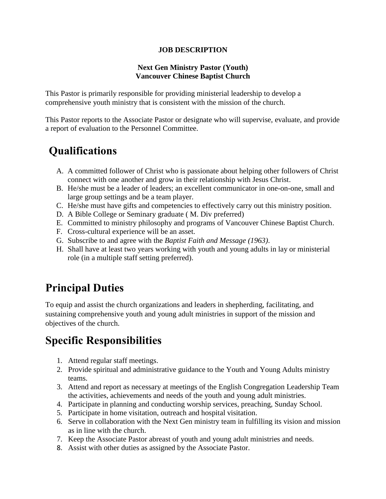#### **JOB DESCRIPTION**

#### **Next Gen Ministry Pastor (Youth) Vancouver Chinese Baptist Church**

This Pastor is primarily responsible for providing ministerial leadership to develop a comprehensive youth ministry that is consistent with the mission of the church.

This Pastor reports to the Associate Pastor or designate who will supervise, evaluate, and provide a report of evaluation to the Personnel Committee.

## **Qualifications**

- A. A committed follower of Christ who is passionate about helping other followers of Christ connect with one another and grow in their relationship with Jesus Christ.
- B. He/she must be a leader of leaders; an excellent communicator in one-on-one, small and large group settings and be a team player.
- C. He/she must have gifts and competencies to effectively carry out this ministry position.
- D. A Bible College or Seminary graduate ( M. Div preferred)
- E. Committed to ministry philosophy and programs of Vancouver Chinese Baptist Church.
- F. Cross-cultural experience will be an asset.
- G. Subscribe to and agree with the *Baptist Faith and Message (1963)*.
- H. Shall have at least two years working with youth and young adults in lay or ministerial role (in a multiple staff setting preferred).

## **Principal Duties**

To equip and assist the church organizations and leaders in shepherding, facilitating, and sustaining comprehensive youth and young adult ministries in support of the mission and objectives of the church.

## **Specific Responsibilities**

- 1. Attend regular staff meetings.
- 2. Provide spiritual and administrative guidance to the Youth and Young Adults ministry teams.
- 3. Attend and report as necessary at meetings of the English Congregation Leadership Team the activities, achievements and needs of the youth and young adult ministries.
- 4. Participate in planning and conducting worship services, preaching, Sunday School.
- 5. Participate in home visitation, outreach and hospital visitation.
- 6. Serve in collaboration with the Next Gen ministry team in fulfilling its vision and mission as in line with the church.
- 7. Keep the Associate Pastor abreast of youth and young adult ministries and needs.
- 8. Assist with other duties as assigned by the Associate Pastor.